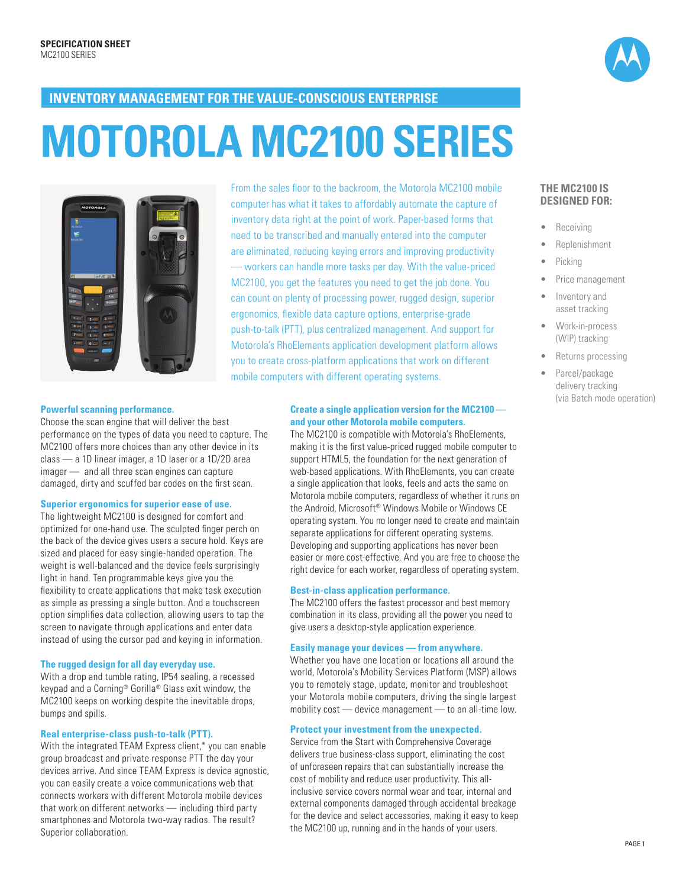

## **INVENTORY MANAGEMENT FOR THE VALUE-CONSCIOUS ENTERPRISE**

# **MOTOROLA MC2100 SERIES**



**Powerful scanning performance.** 

Choose the scan engine that will deliver the best performance on the types of data you need to capture. The MC2100 offers more choices than any other device in its class — a 1D linear imager, a 1D laser or a 1D/2D area imager — and all three scan engines can capture damaged, dirty and scuffed bar codes on the first scan.

#### **Superior ergonomics for superior ease of use.**

The lightweight MC2100 is designed for comfort and optimized for one-hand use. The sculpted finger perch on the back of the device gives users a secure hold. Keys are sized and placed for easy single-handed operation. The weight is well-balanced and the device feels surprisingly light in hand. Ten programmable keys give you the flexibility to create applications that make task execution as simple as pressing a single button. And a touchscreen option simplifies data collection, allowing users to tap the screen to navigate through applications and enter data instead of using the cursor pad and keying in information.

#### **The rugged design for all day everyday use.**

With a drop and tumble rating, IP54 sealing, a recessed keypad and a Corning® Gorilla® Glass exit window, the MC2100 keeps on working despite the inevitable drops, bumps and spills.

#### **Real enterprise-class push-to-talk (PTT).**

With the integrated TEAM Express client,\* you can enable group broadcast and private response PTT the day your devices arrive. And since TEAM Express is device agnostic, you can easily create a voice communications web that connects workers with different Motorola mobile devices that work on different networks — including third party smartphones and Motorola two-way radios. The result? Superior collaboration.

From the sales floor to the backroom, the Motorola MC2100 mobile computer has what it takes to affordably automate the capture of inventory data right at the point of work. Paper-based forms that need to be transcribed and manually entered into the computer are eliminated, reducing keying errors and improving productivity — workers can handle more tasks per day. With the value-priced MC2100, you get the features you need to get the job done. You can count on plenty of processing power, rugged design, superior ergonomics, flexible data capture options, enterprise-grade push-to-talk (PTT), plus centralized management. And support for Motorola's RhoElements application development platform allows you to create cross-platform applications that work on different mobile computers with different operating systems.

#### **Create a single application version for the MC2100 and your other Motorola mobile computers.**

The MC2100 is compatible with Motorola's RhoElements, making it is the first value-priced rugged mobile computer to support HTML5, the foundation for the next generation of web-based applications. With RhoElements, you can create a single application that looks, feels and acts the same on Motorola mobile computers, regardless of whether it runs on the Android, Microsoft® Windows Mobile or Windows CE operating system. You no longer need to create and maintain separate applications for different operating systems. Developing and supporting applications has never been easier or more cost-effective. And you are free to choose the right device for each worker, regardless of operating system.

#### **Best-in-class application performance.**

The MC2100 offers the fastest processor and best memory combination in its class, providing all the power you need to give users a desktop-style application experience.

#### **Easily manage your devices — from anywhere.**

Whether you have one location or locations all around the world, Motorola's Mobility Services Platform (MSP) allows you to remotely stage, update, monitor and troubleshoot your Motorola mobile computers, driving the single largest mobility cost — device management — to an all-time low.

#### **Protect your investment from the unexpected.**

Service from the Start with Comprehensive Coverage delivers true business-class support, eliminating the cost of unforeseen repairs that can substantially increase the cost of mobility and reduce user productivity. This allinclusive service covers normal wear and tear, internal and external components damaged through accidental breakage for the device and select accessories, making it easy to keep the MC2100 up, running and in the hands of your users.

#### **THE MC2100 IS DESIGNED FOR:**

- **Receiving**
- **Replenishment**
- **Picking**
- Price management
- Inventory and asset tracking
- • Work-in-process (WIP) tracking
- Returns processing
- Parcel/package delivery tracking (via Batch mode operation)